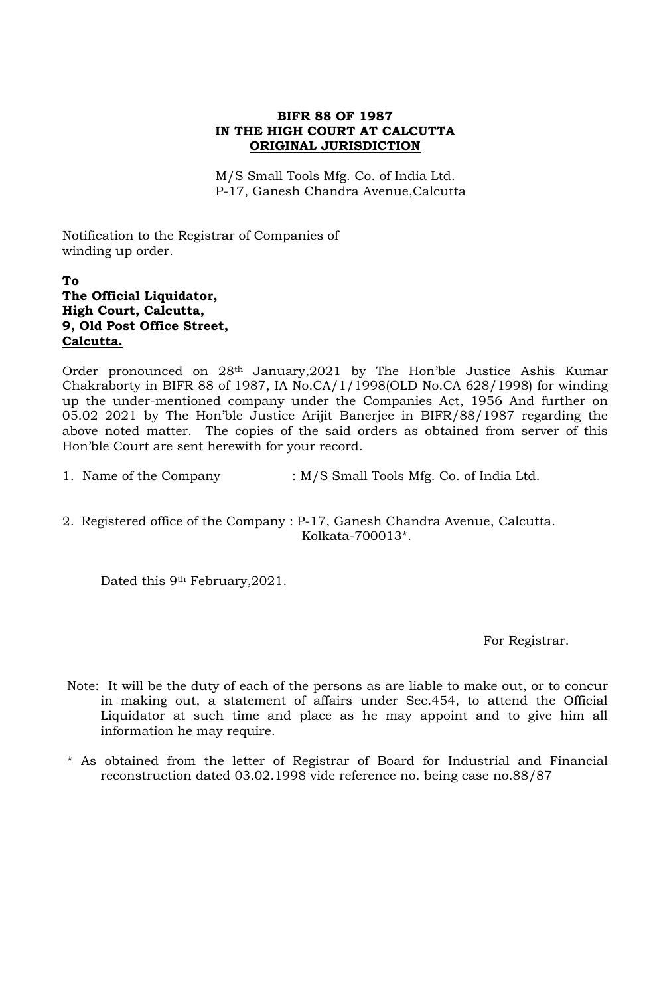## **BIFR 88 OF 1987 IN THE HIGH COURT AT CALCUTTA ORIGINAL JURISDICTION**

M/S Small Tools Mfg. Co. of India Ltd. P-17, Ganesh Chandra Avenue,Calcutta

Notification to the Registrar of Companies of winding up order.

## **To The Official Liquidator, High Court, Calcutta, 9, Old Post Office Street, Calcutta.**

Order pronounced on 28th January,2021 by The Hon'ble Justice Ashis Kumar Chakraborty in BIFR 88 of 1987, IA No.CA/1/1998(OLD No.CA 628/1998) for winding up the under-mentioned company under the Companies Act, 1956 And further on 05.02 2021 by The Hon'ble Justice Arijit Banerjee in BIFR/88/1987 regarding the above noted matter. The copies of the said orders as obtained from server of this Hon'ble Court are sent herewith for your record.

1. Name of the Company : M/S Small Tools Mfg. Co. of India Ltd.

2. Registered office of the Company : P-17, Ganesh Chandra Avenue, Calcutta. Kolkata-700013\*.

Dated this 9<sup>th</sup> February, 2021.

For Registrar.

- Note: It will be the duty of each of the persons as are liable to make out, or to concur in making out, a statement of affairs under Sec.454, to attend the Official Liquidator at such time and place as he may appoint and to give him all information he may require.
- \* As obtained from the letter of Registrar of Board for Industrial and Financial reconstruction dated 03.02.1998 vide reference no. being case no.88/87